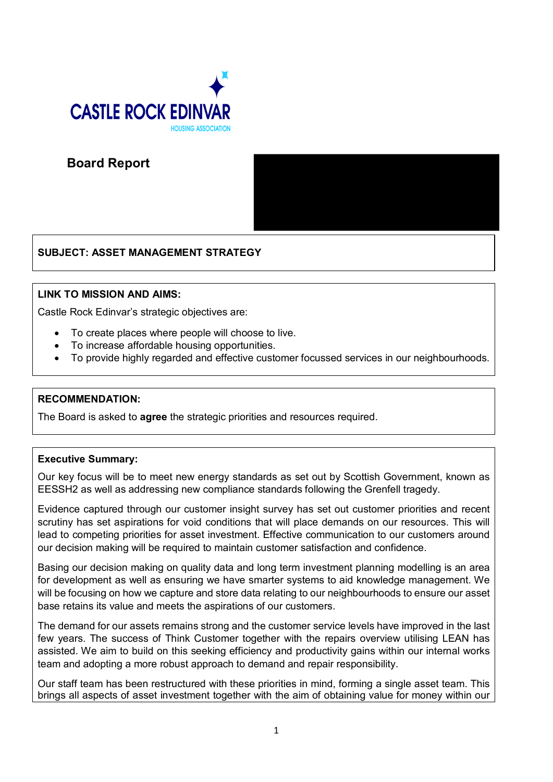

**Board Report**

# **SUBJECT: ASSET MANAGEMENT STRATEGY**

## **LINK TO MISSION AND AIMS:**

Castle Rock Edinvar's strategic objectives are:

- To create places where people will choose to live.
- To increase affordable housing opportunities.
- To provide highly regarded and effective customer focussed services in our neighbourhoods.

## **RECOMMENDATION:**

The Board is asked to **agree** the strategic priorities and resources required.

## **Executive Summary:**

Our key focus will be to meet new energy standards as set out by Scottish Government, known as EESSH2 as well as addressing new compliance standards following the Grenfell tragedy.

Evidence captured through our customer insight survey has set out customer priorities and recent scrutiny has set aspirations for void conditions that will place demands on our resources. This will lead to competing priorities for asset investment. Effective communication to our customers around our decision making will be required to maintain customer satisfaction and confidence.

Basing our decision making on quality data and long term investment planning modelling is an area for development as well as ensuring we have smarter systems to aid knowledge management. We will be focusing on how we capture and store data relating to our neighbourhoods to ensure our asset base retains its value and meets the aspirations of our customers.

The demand for our assets remains strong and the customer service levels have improved in the last few years. The success of Think Customer together with the repairs overview utilising LEAN has assisted. We aim to build on this seeking efficiency and productivity gains within our internal works team and adopting a more robust approach to demand and repair responsibility.

Our staff team has been restructured with these priorities in mind, forming a single asset team. This brings all aspects of asset investment together with the aim of obtaining value for money within our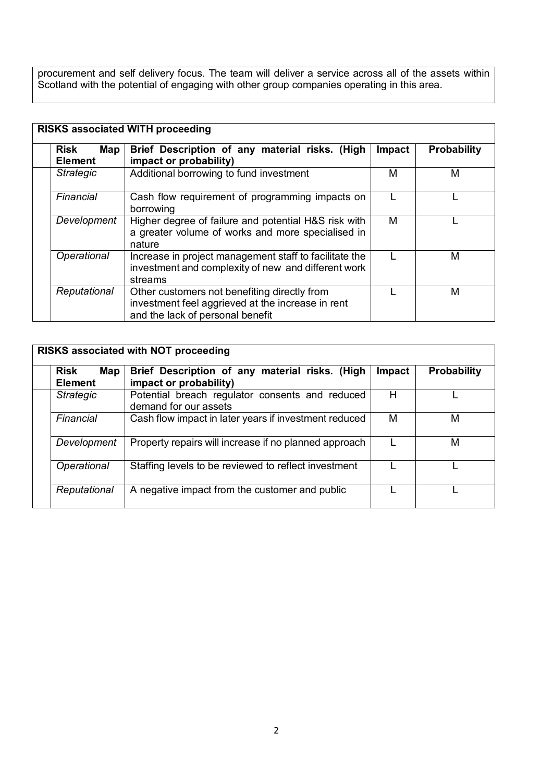procurement and self delivery focus. The team will deliver a service across all of the assets within Scotland with the potential of engaging with other group companies operating in this area.

| <b>Risk</b><br>Map<br><b>Element</b>                                      | Brief Description of any material risks. (High<br>impact or probability)                                                              | <b>Impact</b> | <b>Probability</b> |
|---------------------------------------------------------------------------|---------------------------------------------------------------------------------------------------------------------------------------|---------------|--------------------|
| <b>Strategic</b>                                                          | Additional borrowing to fund investment                                                                                               | М             | М                  |
| Financial<br>Cash flow requirement of programming impacts on<br>borrowing |                                                                                                                                       |               |                    |
| Development                                                               | Higher degree of failure and potential H&S risk with<br>a greater volume of works and more specialised in<br>nature                   | м             |                    |
| Operational                                                               | Increase in project management staff to facilitate the<br>investment and complexity of new and different work<br>streams              |               | M                  |
| Reputational                                                              | Other customers not benefiting directly from<br>investment feel aggrieved at the increase in rent<br>and the lack of personal benefit |               | М                  |

| <b>RISKS associated with NOT proceeding</b> |                                                                                 |               |                    |  |  |
|---------------------------------------------|---------------------------------------------------------------------------------|---------------|--------------------|--|--|
| <b>Risk</b><br><b>Element</b>               | Brief Description of any material risks. (High<br>Map<br>impact or probability) | <b>Impact</b> | <b>Probability</b> |  |  |
| <b>Strategic</b>                            | Potential breach regulator consents and reduced<br>demand for our assets        | н             |                    |  |  |
| Financial                                   | Cash flow impact in later years if investment reduced                           | М             | M                  |  |  |
| Development                                 | Property repairs will increase if no planned approach                           |               | м                  |  |  |
| Operational                                 | Staffing levels to be reviewed to reflect investment                            |               |                    |  |  |
| Reputational                                | A negative impact from the customer and public                                  |               |                    |  |  |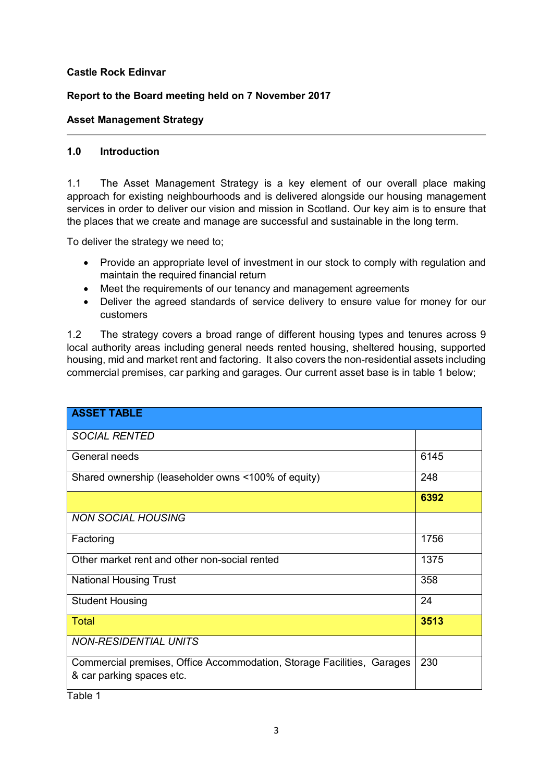## **Castle Rock Edinvar**

# **Report to the Board meeting held on 7 November 2017**

#### **Asset Management Strategy**

#### **1.0 Introduction**

1.1 The Asset Management Strategy is a key element of our overall place making approach for existing neighbourhoods and is delivered alongside our housing management services in order to deliver our vision and mission in Scotland. Our key aim is to ensure that the places that we create and manage are successful and sustainable in the long term.

To deliver the strategy we need to;

- Provide an appropriate level of investment in our stock to comply with regulation and maintain the required financial return
- Meet the requirements of our tenancy and management agreements
- Deliver the agreed standards of service delivery to ensure value for money for our customers

1.2 The strategy covers a broad range of different housing types and tenures across 9 local authority areas including general needs rented housing, sheltered housing, supported housing, mid and market rent and factoring. It also covers the non-residential assets including commercial premises, car parking and garages. Our current asset base is in table 1 below;

| <b>ASSET TABLE</b>                                                                                  |      |
|-----------------------------------------------------------------------------------------------------|------|
| <b>SOCIAL RENTED</b>                                                                                |      |
| General needs                                                                                       | 6145 |
| Shared ownership (leaseholder owns <100% of equity)                                                 | 248  |
|                                                                                                     | 6392 |
| <b>NON SOCIAL HOUSING</b>                                                                           |      |
| Factoring                                                                                           | 1756 |
| Other market rent and other non-social rented                                                       | 1375 |
| <b>National Housing Trust</b>                                                                       | 358  |
| <b>Student Housing</b>                                                                              | 24   |
| Total                                                                                               | 3513 |
| <b>NON-RESIDENTIAL UNITS</b>                                                                        |      |
| Commercial premises, Office Accommodation, Storage Facilities, Garages<br>& car parking spaces etc. | 230  |

Table 1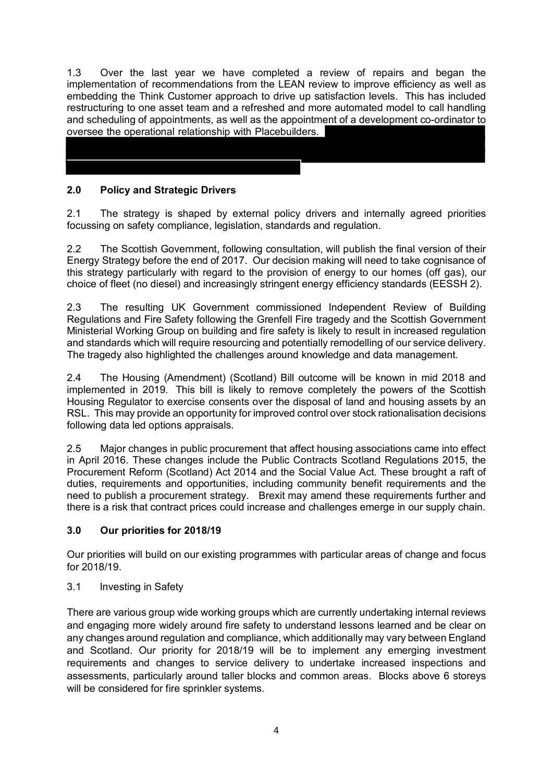1.3 Over the last year we have completed a review of repairs and began the implementation of recommendations from the LEAN review to improve efficiency as well as embedding the Think Customer approach to drive up satisfaction levels. This has included restructuring to one asset team and a refreshed and more automated model to call handling and scheduling of appointments, as well as the appointment of a development co-ordinator to oversee the operational relationship with Placebuilders.

# **2.0 Policy and Strategic Drivers**

2.1 The strategy is shaped by external policy drivers and internally agreed priorities focussing on safety compliance, legislation, standards and regulation.

Ī

2.2 The Scottish Government, following consultation, will publish the final version of their Energy Strategy before the end of 2017. Our decision making will need to take cognisance of this strategy particularly with regard to the provision of energy to our homes (off gas), our choice of fleet (no diesel) and increasingly stringent energy efficiency standards (EESSH 2).

2.3 The resulting UK Government commissioned Independent Review of Building Regulations and Fire Safety following the Grenfell Fire tragedy and the Scottish Government Ministerial Working Group on building and fire safety is likely to result in increased regulation and standards which will require resourcing and potentially remodelling of our service delivery. The tragedy also highlighted the challenges around knowledge and data management.

2.4 The Housing (Amendment) (Scotland) Bill outcome will be known in mid 2018 and implemented in 2019. This bill is likely to remove completely the powers of the Scottish Housing Regulator to exercise consents over the disposal of land and housing assets by an RSL. This may provide an opportunity for improved control over stock rationalisation decisions following data led options appraisals.

2.5 Major changes in public procurement that affect housing associations came into effect in April 2016. These changes include the Public Contracts Scotland Regulations 2015, the Procurement Reform (Scotland) Act 2014 and the Social Value Act. These brought a raft of duties, requirements and opportunities, including community benefit requirements and the need to publish a procurement strategy. Brexit may amend these requirements further and there is a risk that contract prices could increase and challenges emerge in our supply chain.

# **3.0 Our priorities for 2018/19**

Our priorities will build on our existing programmes with particular areas of change and focus for 2018/19.

## 3.1 Investing in Safety

There are various group wide working groups which are currently undertaking internal reviews and engaging more widely around fire safety to understand lessons learned and be clear on any changes around regulation and compliance, which additionally may vary between England and Scotland. Our priority for 2018/19 will be to implement any emerging investment requirements and changes to service delivery to undertake increased inspections and assessments, particularly around taller blocks and common areas. Blocks above 6 storeys will be considered for fire sprinkler systems.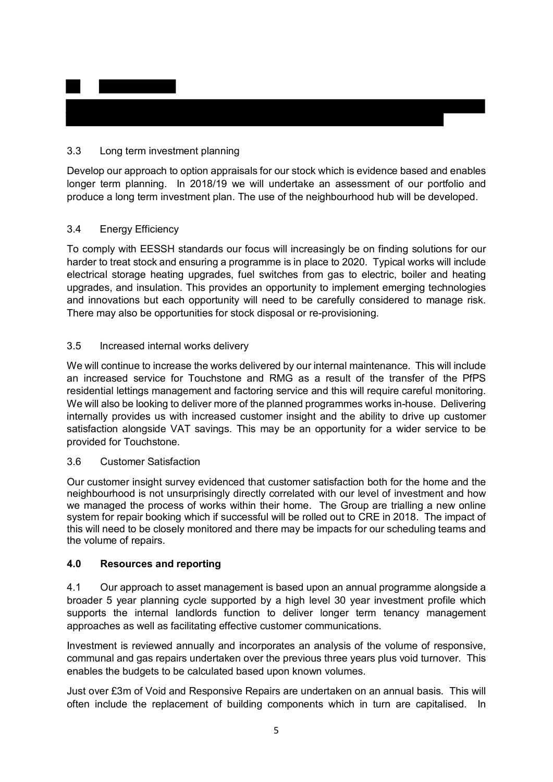# 3.3 Long term investment planning

Develop our approach to option appraisals for our stock which is evidence based and enables longer term planning. In 2018/19 we will undertake an assessment of our portfolio and produce a long term investment plan. The use of the neighbourhood hub will be developed.

## 3.4 Energy Efficiency

To comply with EESSH standards our focus will increasingly be on finding solutions for our harder to treat stock and ensuring a programme is in place to 2020. Typical works will include electrical storage heating upgrades, fuel switches from gas to electric, boiler and heating upgrades, and insulation. This provides an opportunity to implement emerging technologies and innovations but each opportunity will need to be carefully considered to manage risk. There may also be opportunities for stock disposal or re-provisioning.

## 3.5 Increased internal works delivery

We will continue to increase the works delivered by our internal maintenance. This will include an increased service for Touchstone and RMG as a result of the transfer of the PfPS residential lettings management and factoring service and this will require careful monitoring. We will also be looking to deliver more of the planned programmes works in-house. Delivering internally provides us with increased customer insight and the ability to drive up customer satisfaction alongside VAT savings. This may be an opportunity for a wider service to be provided for Touchstone.

## 3.6 Customer Satisfaction

Our customer insight survey evidenced that customer satisfaction both for the home and the neighbourhood is not unsurprisingly directly correlated with our level of investment and how we managed the process of works within their home. The Group are trialling a new online system for repair booking which if successful will be rolled out to CRE in 2018. The impact of this will need to be closely monitored and there may be impacts for our scheduling teams and the volume of repairs.

## **4.0 Resources and reporting**

4.1 Our approach to asset management is based upon an annual programme alongside a broader 5 year planning cycle supported by a high level 30 year investment profile which supports the internal landlords function to deliver longer term tenancy management approaches as well as facilitating effective customer communications.

Investment is reviewed annually and incorporates an analysis of the volume of responsive, communal and gas repairs undertaken over the previous three years plus void turnover. This enables the budgets to be calculated based upon known volumes.

Just over £3m of Void and Responsive Repairs are undertaken on an annual basis. This will often include the replacement of building components which in turn are capitalised. In